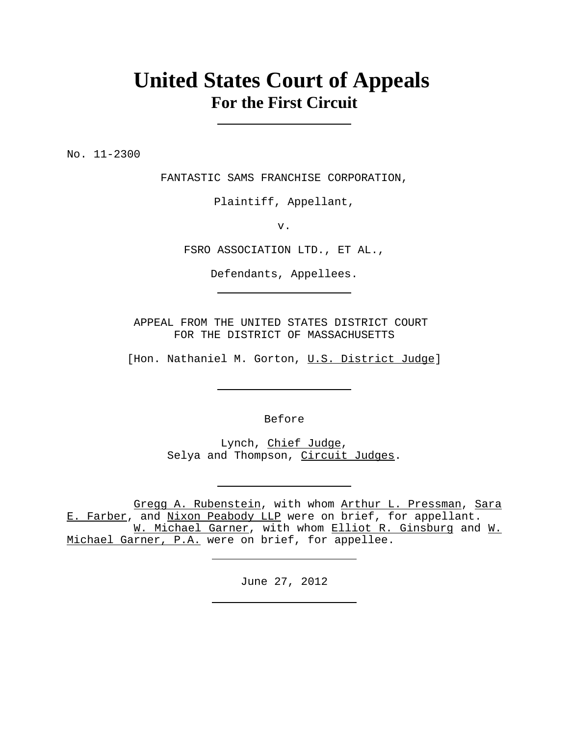## **United States Court of Appeals For the First Circuit**

No. 11-2300

FANTASTIC SAMS FRANCHISE CORPORATION,

Plaintiff, Appellant,

v.

FSRO ASSOCIATION LTD., ET AL.,

Defendants, Appellees.

APPEAL FROM THE UNITED STATES DISTRICT COURT FOR THE DISTRICT OF MASSACHUSETTS

[Hon. Nathaniel M. Gorton, U.S. District Judge]

Before

Lynch, Chief Judge, Selya and Thompson, Circuit Judges.

Gregg A. Rubenstein, with whom Arthur L. Pressman, Sara E. Farber, and Nixon Peabody LLP were on brief, for appellant. W. Michael Garner, with whom Elliot R. Ginsburg and W. Michael Garner, P.A. were on brief, for appellee.

June 27, 2012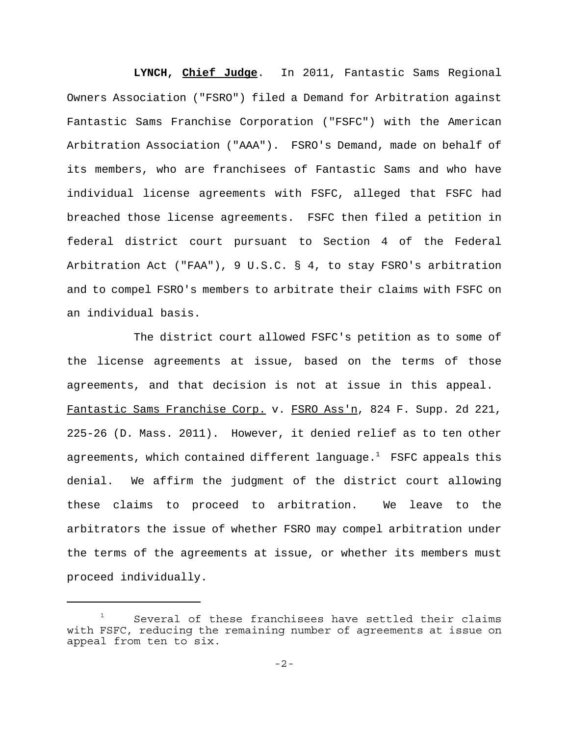**LYNCH, Chief Judge**. In 2011, Fantastic Sams Regional Owners Association ("FSRO") filed a Demand for Arbitration against Fantastic Sams Franchise Corporation ("FSFC") with the American Arbitration Association ("AAA"). FSRO's Demand, made on behalf of its members, who are franchisees of Fantastic Sams and who have individual license agreements with FSFC, alleged that FSFC had breached those license agreements. FSFC then filed a petition in federal district court pursuant to Section 4 of the Federal Arbitration Act ("FAA"), 9 U.S.C. § 4, to stay FSRO's arbitration and to compel FSRO's members to arbitrate their claims with FSFC on an individual basis.

The district court allowed FSFC's petition as to some of the license agreements at issue, based on the terms of those agreements, and that decision is not at issue in this appeal. Fantastic Sams Franchise Corp. v. FSRO Ass'n, 824 F. Supp. 2d 221, 225-26 (D. Mass. 2011). However, it denied relief as to ten other agreements, which contained different language.<sup>1</sup> FSFC appeals this denial. We affirm the judgment of the district court allowing these claims to proceed to arbitration. We leave to the arbitrators the issue of whether FSRO may compel arbitration under the terms of the agreements at issue, or whether its members must proceed individually.

 $1$  Several of these franchisees have settled their claims with FSFC, reducing the remaining number of agreements at issue on appeal from ten to six.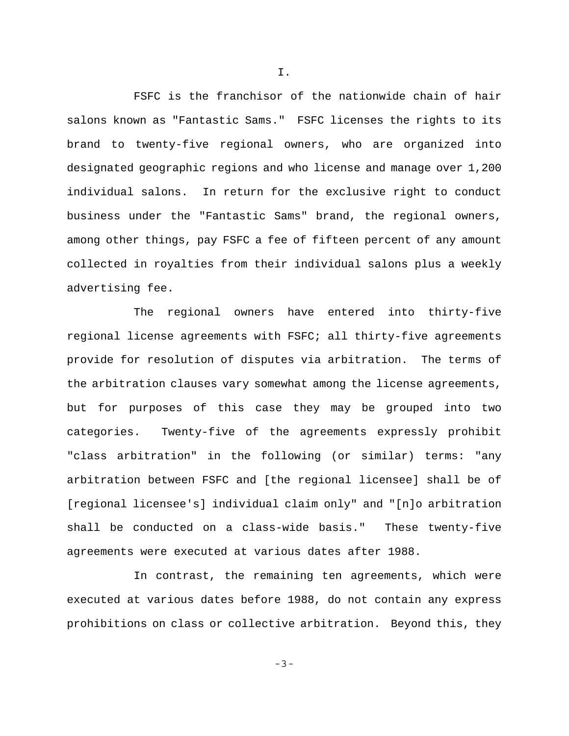FSFC is the franchisor of the nationwide chain of hair salons known as "Fantastic Sams." FSFC licenses the rights to its brand to twenty-five regional owners, who are organized into designated geographic regions and who license and manage over 1,200 individual salons. In return for the exclusive right to conduct business under the "Fantastic Sams" brand, the regional owners, among other things, pay FSFC a fee of fifteen percent of any amount collected in royalties from their individual salons plus a weekly advertising fee.

The regional owners have entered into thirty-five regional license agreements with FSFC; all thirty-five agreements provide for resolution of disputes via arbitration. The terms of the arbitration clauses vary somewhat among the license agreements, but for purposes of this case they may be grouped into two categories. Twenty-five of the agreements expressly prohibit "class arbitration" in the following (or similar) terms: "any arbitration between FSFC and [the regional licensee] shall be of [regional licensee's] individual claim only" and "[n]o arbitration shall be conducted on a class-wide basis." These twenty-five agreements were executed at various dates after 1988.

In contrast, the remaining ten agreements, which were executed at various dates before 1988, do not contain any express prohibitions on class or collective arbitration. Beyond this, they

I.

-3-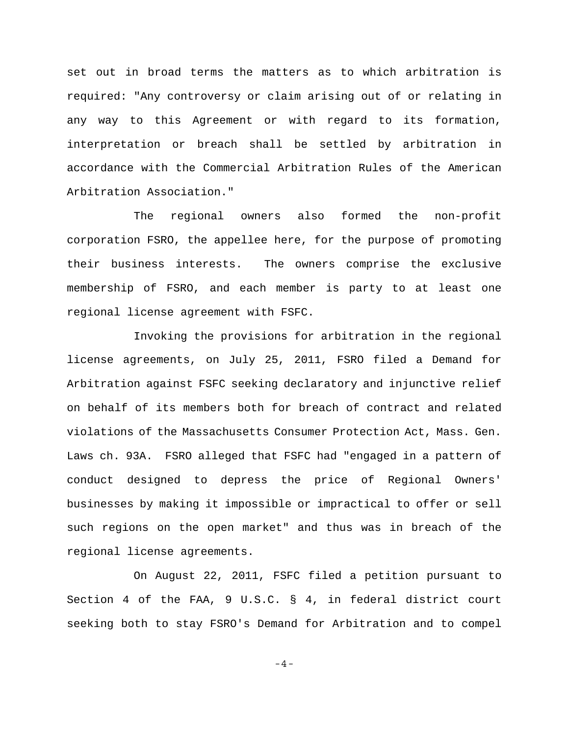set out in broad terms the matters as to which arbitration is required: "Any controversy or claim arising out of or relating in any way to this Agreement or with regard to its formation, interpretation or breach shall be settled by arbitration in accordance with the Commercial Arbitration Rules of the American Arbitration Association."

The regional owners also formed the non-profit corporation FSRO, the appellee here, for the purpose of promoting their business interests. The owners comprise the exclusive membership of FSRO, and each member is party to at least one regional license agreement with FSFC.

Invoking the provisions for arbitration in the regional license agreements, on July 25, 2011, FSRO filed a Demand for Arbitration against FSFC seeking declaratory and injunctive relief on behalf of its members both for breach of contract and related violations of the Massachusetts Consumer Protection Act, Mass. Gen. Laws ch. 93A. FSRO alleged that FSFC had "engaged in a pattern of conduct designed to depress the price of Regional Owners' businesses by making it impossible or impractical to offer or sell such regions on the open market" and thus was in breach of the regional license agreements.

On August 22, 2011, FSFC filed a petition pursuant to Section 4 of the FAA, 9 U.S.C. § 4, in federal district court seeking both to stay FSRO's Demand for Arbitration and to compel

-4-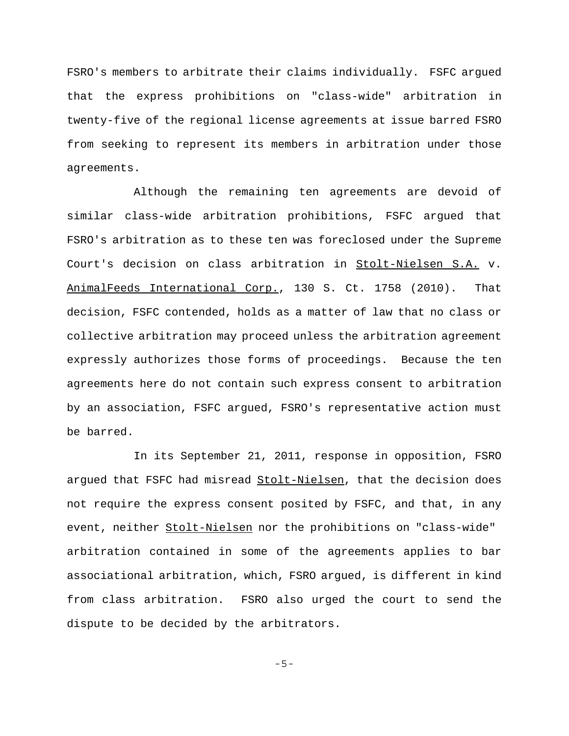FSRO's members to arbitrate their claims individually. FSFC argued that the express prohibitions on "class-wide" arbitration in twenty-five of the regional license agreements at issue barred FSRO from seeking to represent its members in arbitration under those agreements.

Although the remaining ten agreements are devoid of similar class-wide arbitration prohibitions, FSFC argued that FSRO's arbitration as to these ten was foreclosed under the Supreme Court's decision on class arbitration in Stolt-Nielsen S.A. v. AnimalFeeds International Corp., 130 S. Ct. 1758 (2010). That decision, FSFC contended, holds as a matter of law that no class or collective arbitration may proceed unless the arbitration agreement expressly authorizes those forms of proceedings. Because the ten agreements here do not contain such express consent to arbitration by an association, FSFC argued, FSRO's representative action must be barred.

In its September 21, 2011, response in opposition, FSRO argued that FSFC had misread Stolt-Nielsen, that the decision does not require the express consent posited by FSFC, and that, in any event, neither Stolt-Nielsen nor the prohibitions on "class-wide" arbitration contained in some of the agreements applies to bar associational arbitration, which, FSRO argued, is different in kind from class arbitration. FSRO also urged the court to send the dispute to be decided by the arbitrators.

-5-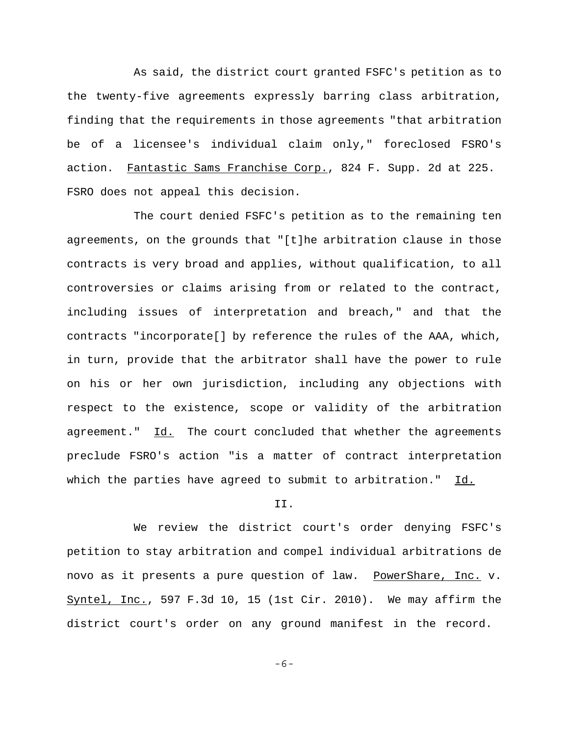As said, the district court granted FSFC's petition as to the twenty-five agreements expressly barring class arbitration, finding that the requirements in those agreements "that arbitration be of a licensee's individual claim only," foreclosed FSRO's action. Fantastic Sams Franchise Corp., 824 F. Supp. 2d at 225. FSRO does not appeal this decision.

The court denied FSFC's petition as to the remaining ten agreements, on the grounds that "[t]he arbitration clause in those contracts is very broad and applies, without qualification, to all controversies or claims arising from or related to the contract, including issues of interpretation and breach," and that the contracts "incorporate[] by reference the rules of the AAA, which, in turn, provide that the arbitrator shall have the power to rule on his or her own jurisdiction, including any objections with respect to the existence, scope or validity of the arbitration agreement." Id. The court concluded that whether the agreements preclude FSRO's action "is a matter of contract interpretation which the parties have agreed to submit to arbitration." Id.

## II.

We review the district court's order denying FSFC's petition to stay arbitration and compel individual arbitrations de novo as it presents a pure question of law. PowerShare, Inc. v. Syntel, Inc., 597 F.3d 10, 15 (1st Cir. 2010). We may affirm the district court's order on any ground manifest in the record.

-6-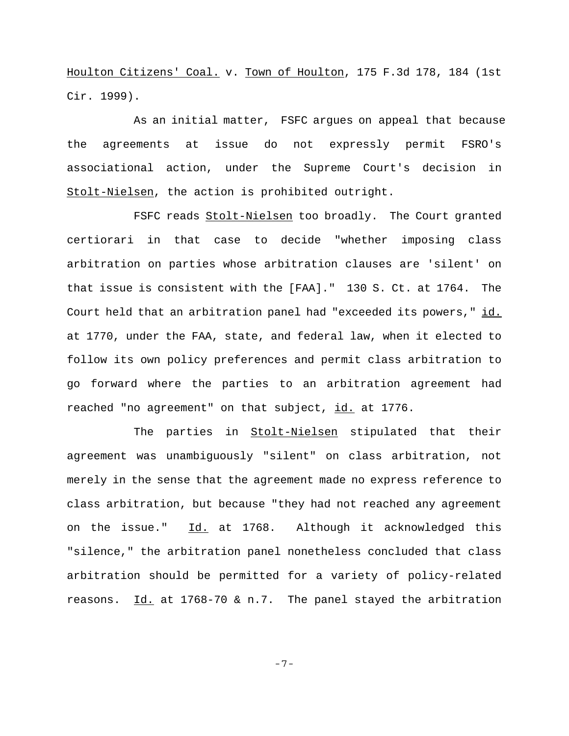Houlton Citizens' Coal. v. Town of Houlton, 175 F.3d 178, 184 (1st Cir. 1999).

As an initial matter, FSFC argues on appeal that because the agreements at issue do not expressly permit FSRO's associational action, under the Supreme Court's decision in Stolt-Nielsen, the action is prohibited outright.

FSFC reads Stolt-Nielsen too broadly. The Court granted certiorari in that case to decide "whether imposing class arbitration on parties whose arbitration clauses are 'silent' on that issue is consistent with the [FAA]." 130 S. Ct. at 1764. The Court held that an arbitration panel had "exceeded its powers," id. at 1770, under the FAA, state, and federal law, when it elected to follow its own policy preferences and permit class arbitration to go forward where the parties to an arbitration agreement had reached "no agreement" on that subject, id. at 1776.

The parties in Stolt-Nielsen stipulated that their agreement was unambiguously "silent" on class arbitration, not merely in the sense that the agreement made no express reference to class arbitration, but because "they had not reached any agreement on the issue." Id. at 1768. Although it acknowledged this "silence," the arbitration panel nonetheless concluded that class arbitration should be permitted for a variety of policy-related reasons. Id. at 1768-70 & n.7. The panel stayed the arbitration

-7-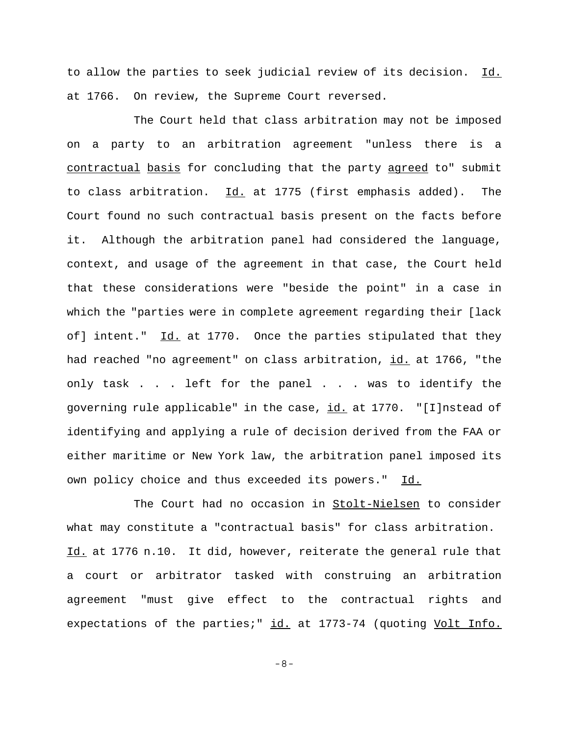to allow the parties to seek judicial review of its decision. Id. at 1766. On review, the Supreme Court reversed.

The Court held that class arbitration may not be imposed on a party to an arbitration agreement "unless there is a contractual basis for concluding that the party agreed to" submit to class arbitration. Id. at 1775 (first emphasis added). The Court found no such contractual basis present on the facts before it. Although the arbitration panel had considered the language, context, and usage of the agreement in that case, the Court held that these considerations were "beside the point" in a case in which the "parties were in complete agreement regarding their [lack of] intent." Id. at 1770. Once the parties stipulated that they had reached "no agreement" on class arbitration, id. at 1766, "the only task . . . left for the panel . . . was to identify the governing rule applicable" in the case, id. at 1770. "[I]nstead of identifying and applying a rule of decision derived from the FAA or either maritime or New York law, the arbitration panel imposed its own policy choice and thus exceeded its powers." Id.

The Court had no occasion in Stolt-Nielsen to consider what may constitute a "contractual basis" for class arbitration. Id. at 1776 n.10. It did, however, reiterate the general rule that a court or arbitrator tasked with construing an arbitration agreement "must give effect to the contractual rights and expectations of the parties;" id. at 1773-74 (quoting Volt Info.

-8-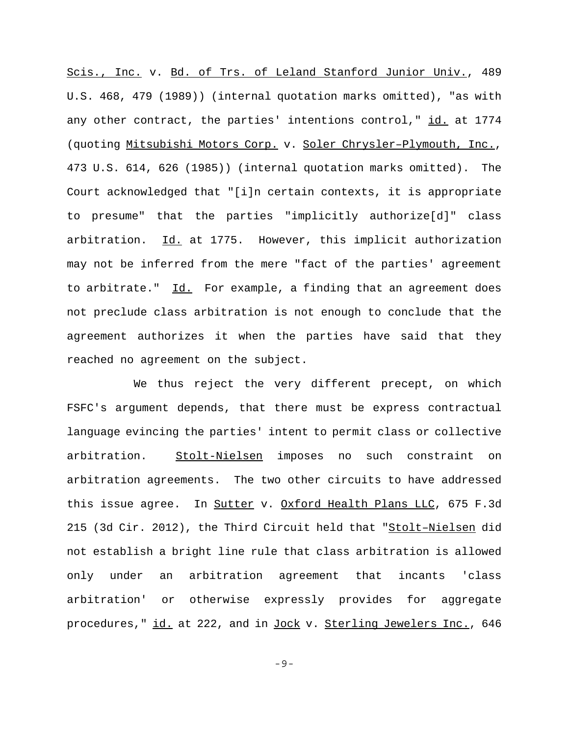Scis., Inc. v. Bd. of Trs. of Leland Stanford Junior Univ., 489 U.S. 468, 479 (1989)) (internal quotation marks omitted), "as with any other contract, the parties' intentions control," id. at 1774 (quoting Mitsubishi Motors Corp. v. Soler Chrysler–Plymouth, Inc., 473 U.S. 614, 626 (1985)) (internal quotation marks omitted). The Court acknowledged that "[i]n certain contexts, it is appropriate to presume" that the parties "implicitly authorize[d]" class arbitration. Id. at 1775. However, this implicit authorization may not be inferred from the mere "fact of the parties' agreement to arbitrate." Id. For example, a finding that an agreement does not preclude class arbitration is not enough to conclude that the agreement authorizes it when the parties have said that they reached no agreement on the subject.

We thus reject the very different precept, on which FSFC's argument depends, that there must be express contractual language evincing the parties' intent to permit class or collective arbitration. Stolt-Nielsen imposes no such constraint on arbitration agreements. The two other circuits to have addressed this issue agree. In Sutter v. Oxford Health Plans LLC, 675 F.3d 215 (3d Cir. 2012), the Third Circuit held that "Stolt–Nielsen did not establish a bright line rule that class arbitration is allowed only under an arbitration agreement that incants 'class arbitration' or otherwise expressly provides for aggregate procedures," id. at 222, and in Jock v. Sterling Jewelers Inc., 646

-9-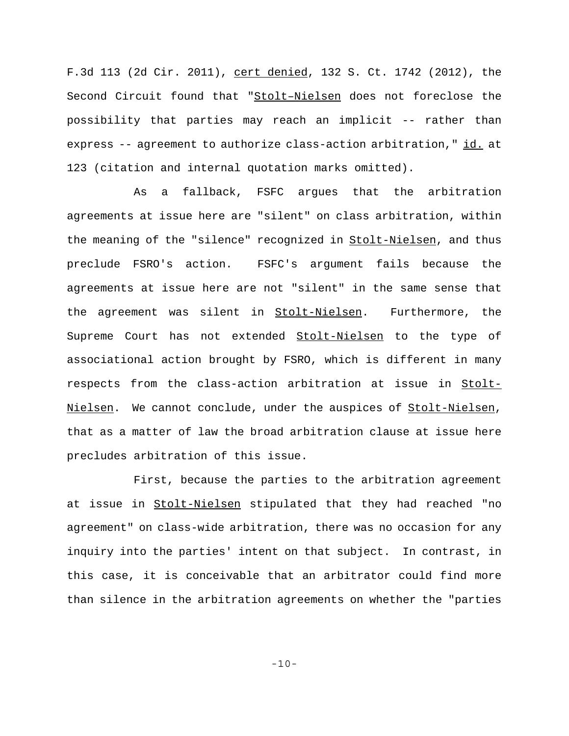F.3d 113 (2d Cir. 2011), cert denied, 132 S. Ct. 1742 (2012), the Second Circuit found that "Stolt–Nielsen does not foreclose the possibility that parties may reach an implicit -- rather than express -- agreement to authorize class-action arbitration," id. at 123 (citation and internal quotation marks omitted).

As a fallback, FSFC argues that the arbitration agreements at issue here are "silent" on class arbitration, within the meaning of the "silence" recognized in Stolt-Nielsen, and thus preclude FSRO's action. FSFC's argument fails because the agreements at issue here are not "silent" in the same sense that the agreement was silent in Stolt-Nielsen. Furthermore, the Supreme Court has not extended Stolt-Nielsen to the type of associational action brought by FSRO, which is different in many respects from the class-action arbitration at issue in Stolt-Nielsen. We cannot conclude, under the auspices of Stolt-Nielsen, that as a matter of law the broad arbitration clause at issue here precludes arbitration of this issue.

First, because the parties to the arbitration agreement at issue in Stolt-Nielsen stipulated that they had reached "no agreement" on class-wide arbitration, there was no occasion for any inquiry into the parties' intent on that subject. In contrast, in this case, it is conceivable that an arbitrator could find more than silence in the arbitration agreements on whether the "parties

-10-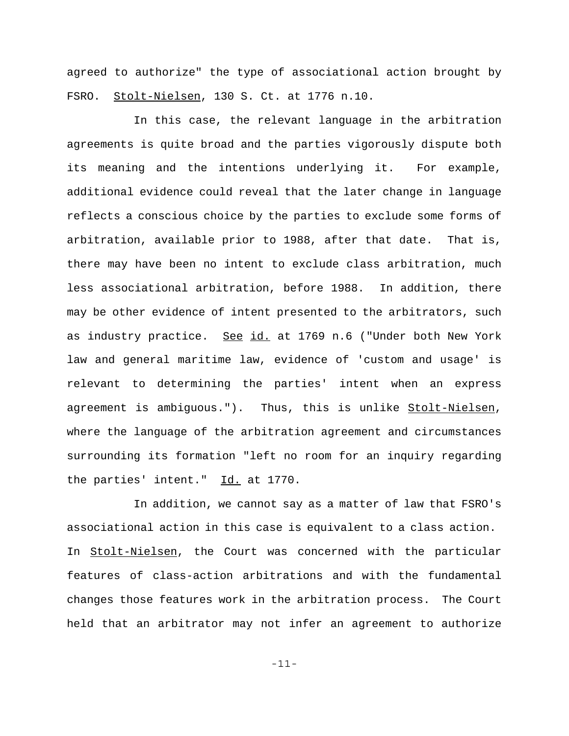agreed to authorize" the type of associational action brought by FSRO. Stolt-Nielsen, 130 S. Ct. at 1776 n.10.

In this case, the relevant language in the arbitration agreements is quite broad and the parties vigorously dispute both its meaning and the intentions underlying it. For example, additional evidence could reveal that the later change in language reflects a conscious choice by the parties to exclude some forms of arbitration, available prior to 1988, after that date. That is, there may have been no intent to exclude class arbitration, much less associational arbitration, before 1988. In addition, there may be other evidence of intent presented to the arbitrators, such as industry practice. See id. at 1769 n.6 ("Under both New York law and general maritime law, evidence of 'custom and usage' is relevant to determining the parties' intent when an express agreement is ambiguous."). Thus, this is unlike Stolt-Nielsen, where the language of the arbitration agreement and circumstances surrounding its formation "left no room for an inquiry regarding the parties' intent." Id. at 1770.

In addition, we cannot say as a matter of law that FSRO's associational action in this case is equivalent to a class action. In Stolt-Nielsen, the Court was concerned with the particular features of class-action arbitrations and with the fundamental changes those features work in the arbitration process. The Court held that an arbitrator may not infer an agreement to authorize

-11-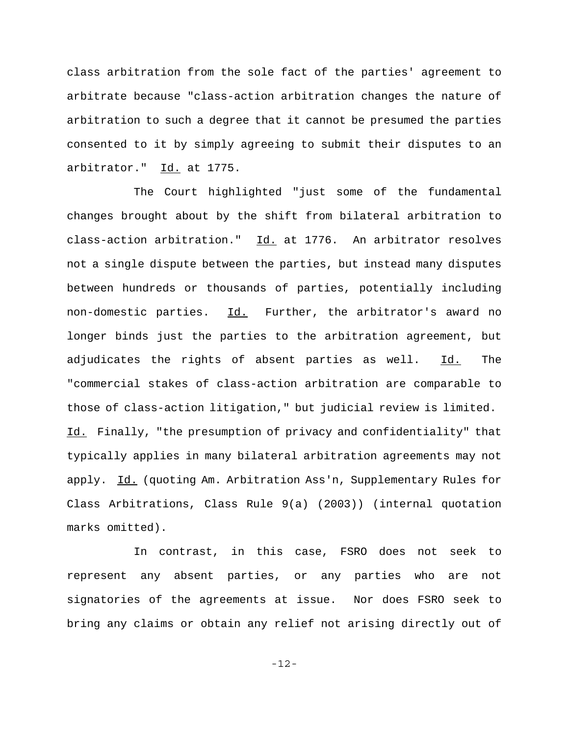class arbitration from the sole fact of the parties' agreement to arbitrate because "class-action arbitration changes the nature of arbitration to such a degree that it cannot be presumed the parties consented to it by simply agreeing to submit their disputes to an arbitrator." Id. at 1775.

The Court highlighted "just some of the fundamental changes brought about by the shift from bilateral arbitration to class-action arbitration." Id. at 1776. An arbitrator resolves not a single dispute between the parties, but instead many disputes between hundreds or thousands of parties, potentially including non-domestic parties. Id. Further, the arbitrator's award no longer binds just the parties to the arbitration agreement, but adjudicates the rights of absent parties as well. Id. The "commercial stakes of class-action arbitration are comparable to those of class-action litigation," but judicial review is limited. Id. Finally, "the presumption of privacy and confidentiality" that typically applies in many bilateral arbitration agreements may not apply. Id. (quoting Am. Arbitration Ass'n, Supplementary Rules for Class Arbitrations, Class Rule 9(a) (2003)) (internal quotation marks omitted).

In contrast, in this case, FSRO does not seek to represent any absent parties, or any parties who are not signatories of the agreements at issue. Nor does FSRO seek to bring any claims or obtain any relief not arising directly out of

-12-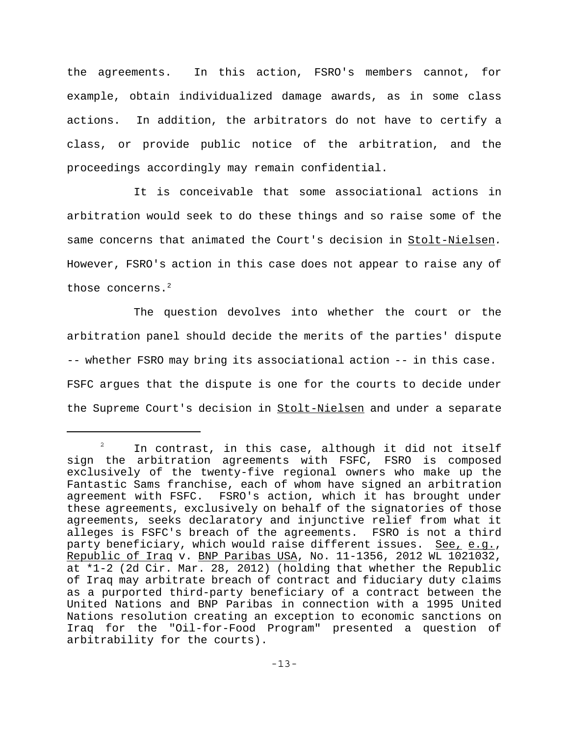the agreements. In this action, FSRO's members cannot, for example, obtain individualized damage awards, as in some class actions. In addition, the arbitrators do not have to certify a class, or provide public notice of the arbitration, and the proceedings accordingly may remain confidential.

It is conceivable that some associational actions in arbitration would seek to do these things and so raise some of the same concerns that animated the Court's decision in Stolt-Nielsen*.* However, FSRO's action in this case does not appear to raise any of those concerns.<sup>2</sup>

The question devolves into whether the court or the arbitration panel should decide the merits of the parties' dispute -- whether FSRO may bring its associational action -- in this case. FSFC argues that the dispute is one for the courts to decide under the Supreme Court's decision in Stolt-Nielsen and under a separate

 $2^2$  In contrast, in this case, although it did not itself sign the arbitration agreements with FSFC, FSRO is composed exclusively of the twenty-five regional owners who make up the Fantastic Sams franchise, each of whom have signed an arbitration agreement with FSFC. FSRO's action, which it has brought under these agreements, exclusively on behalf of the signatories of those agreements, seeks declaratory and injunctive relief from what it alleges is FSFC's breach of the agreements. FSRO is not a third party beneficiary, which would raise different issues. See, e.g., Republic of Iraq v. BNP Paribas USA, No. 11-1356, 2012 WL 1021032, at \*1-2 (2d Cir. Mar. 28, 2012) (holding that whether the Republic of Iraq may arbitrate breach of contract and fiduciary duty claims as a purported third-party beneficiary of a contract between the United Nations and BNP Paribas in connection with a 1995 United Nations resolution creating an exception to economic sanctions on Iraq for the "Oil-for-Food Program" presented a question of arbitrability for the courts).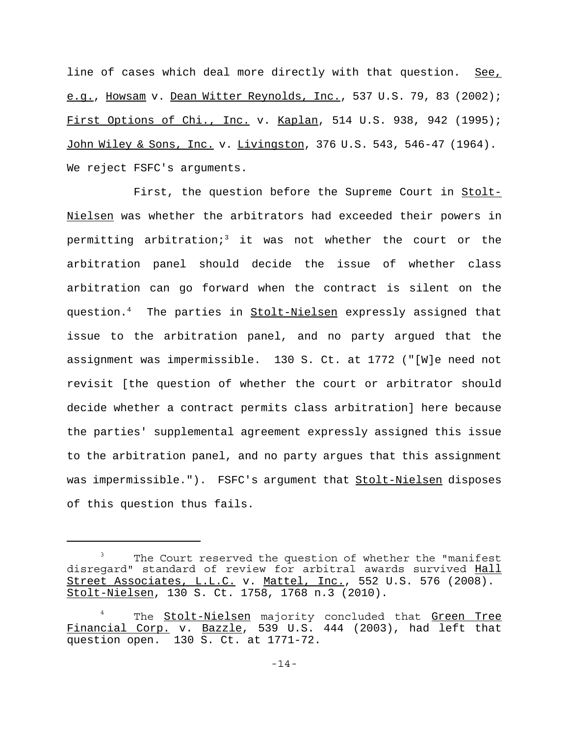line of cases which deal more directly with that question. See, e.g., Howsam v. Dean Witter Reynolds, Inc., 537 U.S. 79, 83 (2002); First Options of Chi., Inc. v. Kaplan, 514 U.S. 938, 942 (1995); John Wiley & Sons, Inc. v. Livingston, 376 U.S. 543, 546-47 (1964). We reject FSFC's arguments.

First, the question before the Supreme Court in Stolt-Nielsen was whether the arbitrators had exceeded their powers in permitting arbitration;<sup>3</sup> it was not whether the court or the arbitration panel should decide the issue of whether class arbitration can go forward when the contract is silent on the question.<sup>4</sup> The parties in <u>Stolt-Nielsen</u> expressly assigned that issue to the arbitration panel, and no party argued that the assignment was impermissible. 130 S. Ct. at 1772 ("[W]e need not revisit [the question of whether the court or arbitrator should decide whether a contract permits class arbitration] here because the parties' supplemental agreement expressly assigned this issue to the arbitration panel, and no party argues that this assignment was impermissible."). FSFC's argument that Stolt-Nielsen disposes of this question thus fails.

The Court reserved the question of whether the "manifest disregard" standard of review for arbitral awards survived Hall Street Associates, L.L.C. v. Mattel, Inc., 552 U.S. 576 (2008). Stolt-Nielsen, 130 S. Ct. 1758, 1768 n.3 (2010).

<sup>&</sup>lt;sup>4</sup> The <u>Stolt-Nielsen</u> majority concluded that <u>Green Tree</u> Financial Corp. v. Bazzle, 539 U.S. 444 (2003), had left that question open. 130 S. Ct. at 1771-72.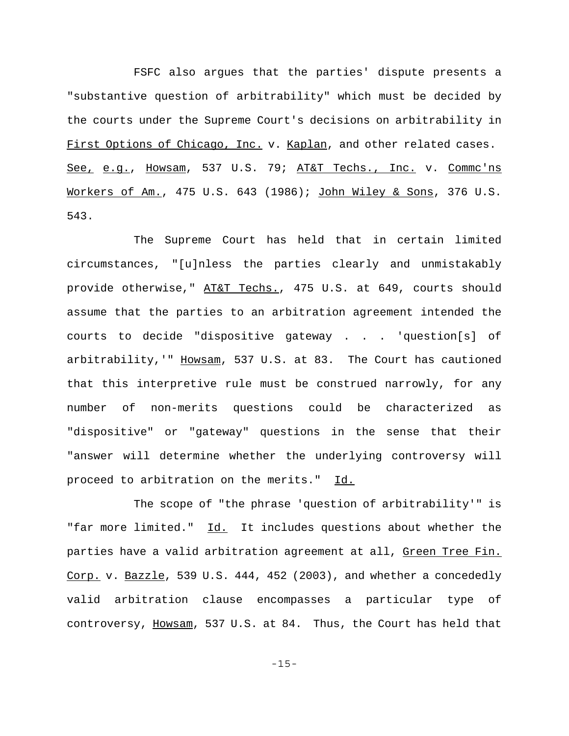FSFC also argues that the parties' dispute presents a "substantive question of arbitrability" which must be decided by the courts under the Supreme Court's decisions on arbitrability in First Options of Chicago, Inc. v. Kaplan, and other related cases. See, e.g., Howsam, 537 U.S. 79; AT&T Techs., Inc. v. Commc'ns Workers of Am., 475 U.S. 643 (1986); John Wiley & Sons, 376 U.S. 543.

The Supreme Court has held that in certain limited circumstances, "[u]nless the parties clearly and unmistakably provide otherwise," AT&T Techs., 475 U.S. at 649, courts should assume that the parties to an arbitration agreement intended the courts to decide "dispositive gateway . . . 'question[s] of arbitrability,'" Howsam, 537 U.S. at 83. The Court has cautioned that this interpretive rule must be construed narrowly, for any number of non-merits questions could be characterized as "dispositive" or "gateway" questions in the sense that their "answer will determine whether the underlying controversy will proceed to arbitration on the merits." Id.

The scope of "the phrase 'question of arbitrability'" is "far more limited." Id. It includes questions about whether the parties have a valid arbitration agreement at all, Green Tree Fin. Corp. v. Bazzle, 539 U.S. 444, 452 (2003), and whether a concededly valid arbitration clause encompasses a particular type of controversy, Howsam, 537 U.S. at 84. Thus, the Court has held that

-15-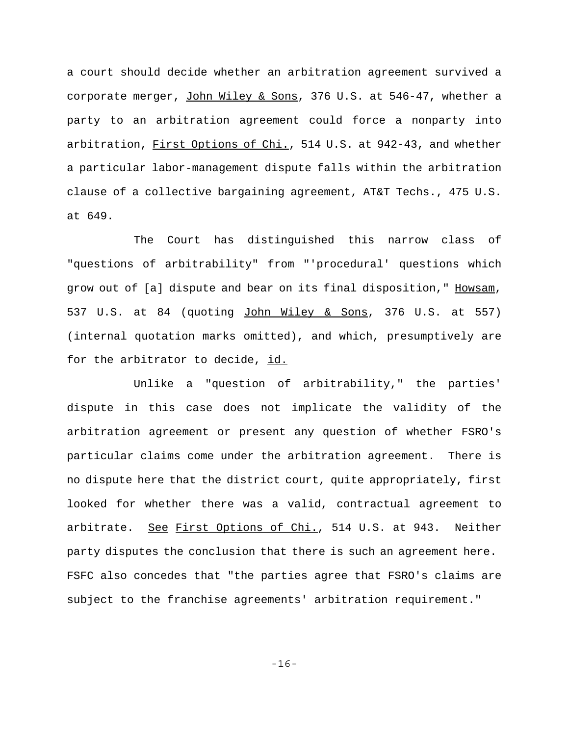a court should decide whether an arbitration agreement survived a corporate merger, John Wiley & Sons, 376 U.S. at 546-47, whether a party to an arbitration agreement could force a nonparty into arbitration, First Options of Chi., 514 U.S. at 942-43, and whether a particular labor-management dispute falls within the arbitration clause of a collective bargaining agreement, AT&T Techs., 475 U.S. at 649.

The Court has distinguished this narrow class of "questions of arbitrability" from "'procedural' questions which grow out of [a] dispute and bear on its final disposition," Howsam, 537 U.S. at 84 (quoting John Wiley & Sons, 376 U.S. at 557) (internal quotation marks omitted), and which, presumptively are for the arbitrator to decide, id.

Unlike a "question of arbitrability," the parties' dispute in this case does not implicate the validity of the arbitration agreement or present any question of whether FSRO's particular claims come under the arbitration agreement. There is no dispute here that the district court, quite appropriately, first looked for whether there was a valid, contractual agreement to arbitrate. See First Options of Chi., 514 U.S. at 943. Neither party disputes the conclusion that there is such an agreement here. FSFC also concedes that "the parties agree that FSRO's claims are subject to the franchise agreements' arbitration requirement."

-16-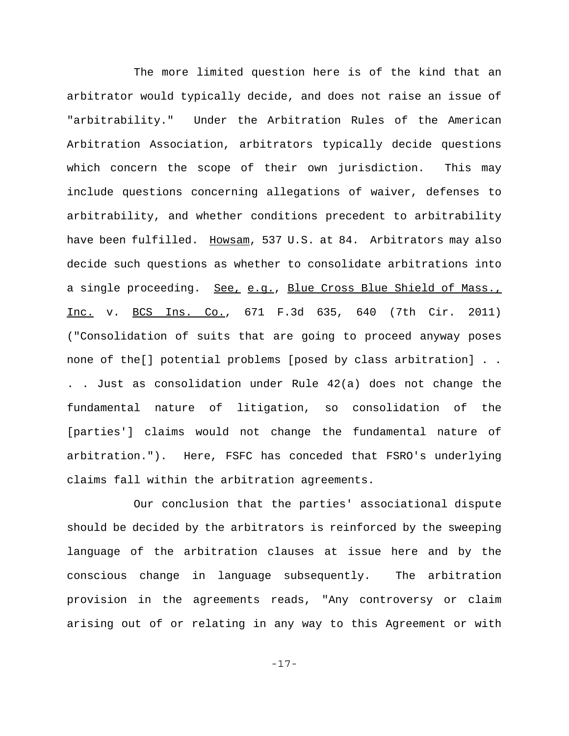The more limited question here is of the kind that an arbitrator would typically decide, and does not raise an issue of "arbitrability." Under the Arbitration Rules of the American Arbitration Association, arbitrators typically decide questions which concern the scope of their own jurisdiction. This may include questions concerning allegations of waiver, defenses to arbitrability, and whether conditions precedent to arbitrability have been fulfilled. Howsam, 537 U.S. at 84. Arbitrators may also decide such questions as whether to consolidate arbitrations into a single proceeding. See, e.g., Blue Cross Blue Shield of Mass., Inc. v. BCS Ins. Co., 671 F.3d 635, 640 (7th Cir. 2011) ("Consolidation of suits that are going to proceed anyway poses none of the[] potential problems [posed by class arbitration] . . . . Just as consolidation under Rule 42(a) does not change the fundamental nature of litigation, so consolidation of the [parties'] claims would not change the fundamental nature of arbitration."). Here, FSFC has conceded that FSRO's underlying claims fall within the arbitration agreements.

 Our conclusion that the parties' associational dispute should be decided by the arbitrators is reinforced by the sweeping language of the arbitration clauses at issue here and by the conscious change in language subsequently. The arbitration provision in the agreements reads, "Any controversy or claim arising out of or relating in any way to this Agreement or with

-17-